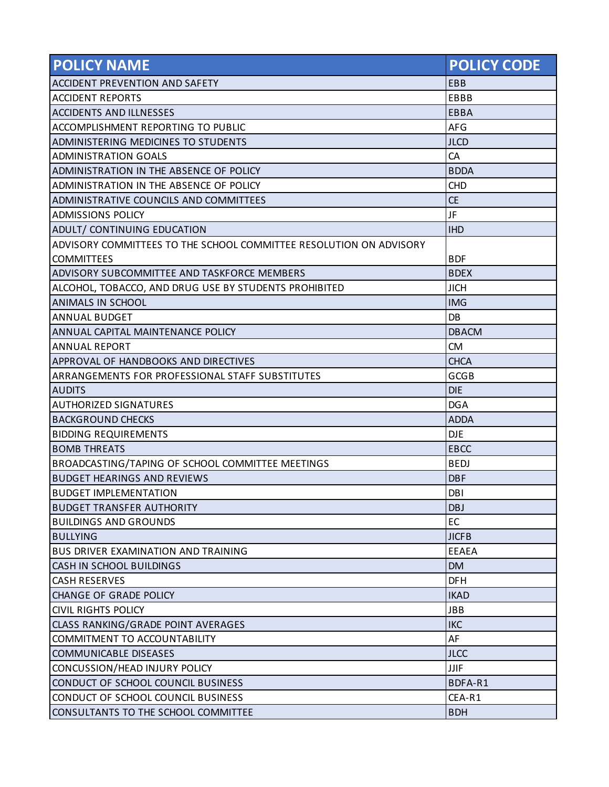| <b>POLICY NAME</b>                                                 | <b>POLICY CODE</b> |
|--------------------------------------------------------------------|--------------------|
| ACCIDENT PREVENTION AND SAFETY                                     | EBB                |
| <b>ACCIDENT REPORTS</b>                                            | EBBB               |
| <b>ACCIDENTS AND ILLNESSES</b>                                     | <b>EBBA</b>        |
| ACCOMPLISHMENT REPORTING TO PUBLIC                                 | <b>AFG</b>         |
| ADMINISTERING MEDICINES TO STUDENTS                                | <b>JLCD</b>        |
| <b>ADMINISTRATION GOALS</b>                                        | CA                 |
| ADMINISTRATION IN THE ABSENCE OF POLICY                            | <b>BDDA</b>        |
| ADMINISTRATION IN THE ABSENCE OF POLICY                            | <b>CHD</b>         |
| ADMINISTRATIVE COUNCILS AND COMMITTEES                             | <b>CE</b>          |
| <b>ADMISSIONS POLICY</b>                                           | JF                 |
| ADULT/ CONTINUING EDUCATION                                        | <b>IHD</b>         |
| ADVISORY COMMITTEES TO THE SCHOOL COMMITTEE RESOLUTION ON ADVISORY |                    |
| <b>COMMITTEES</b>                                                  | <b>BDF</b>         |
| ADVISORY SUBCOMMITTEE AND TASKFORCE MEMBERS                        | <b>BDEX</b>        |
| ALCOHOL, TOBACCO, AND DRUG USE BY STUDENTS PROHIBITED              | <b>JICH</b>        |
| ANIMALS IN SCHOOL                                                  | <b>IMG</b>         |
| <b>ANNUAL BUDGET</b>                                               | DB                 |
| ANNUAL CAPITAL MAINTENANCE POLICY                                  | <b>DBACM</b>       |
| <b>ANNUAL REPORT</b>                                               | <b>CM</b>          |
| APPROVAL OF HANDBOOKS AND DIRECTIVES                               | <b>CHCA</b>        |
| ARRANGEMENTS FOR PROFESSIONAL STAFF SUBSTITUTES                    | <b>GCGB</b>        |
| <b>AUDITS</b>                                                      | <b>DIE</b>         |
| <b>AUTHORIZED SIGNATURES</b>                                       | <b>DGA</b>         |
| <b>BACKGROUND CHECKS</b>                                           | <b>ADDA</b>        |
| <b>BIDDING REQUIREMENTS</b>                                        | <b>DJE</b>         |
| <b>BOMB THREATS</b>                                                | <b>EBCC</b>        |
| BROADCASTING/TAPING OF SCHOOL COMMITTEE MEETINGS                   | <b>BEDJ</b>        |
| <b>BUDGET HEARINGS AND REVIEWS</b>                                 | <b>DBF</b>         |
| <b>BUDGET IMPLEMENTATION</b>                                       | <b>DBI</b>         |
| <b>BUDGET TRANSFER AUTHORITY</b>                                   | <b>DBJ</b>         |
| <b>BUILDINGS AND GROUNDS</b>                                       | EC                 |
| <b>BULLYING</b>                                                    | <b>JICFB</b>       |
| <b>BUS DRIVER EXAMINATION AND TRAINING</b>                         | <b>EEAEA</b>       |
| CASH IN SCHOOL BUILDINGS                                           | <b>DM</b>          |
| <b>CASH RESERVES</b>                                               | <b>DFH</b>         |
| <b>CHANGE OF GRADE POLICY</b>                                      | <b>IKAD</b>        |
| <b>CIVIL RIGHTS POLICY</b>                                         | <b>JBB</b>         |
| <b>CLASS RANKING/GRADE POINT AVERAGES</b>                          | <b>IKC</b>         |
| <b>COMMITMENT TO ACCOUNTABILITY</b>                                | AF                 |
| <b>COMMUNICABLE DISEASES</b>                                       | <b>JLCC</b>        |
| CONCUSSION/HEAD INJURY POLICY                                      | JJIF               |
| CONDUCT OF SCHOOL COUNCIL BUSINESS                                 | BDFA-R1            |
| CONDUCT OF SCHOOL COUNCIL BUSINESS                                 | CEA-R1             |
| CONSULTANTS TO THE SCHOOL COMMITTEE                                | <b>BDH</b>         |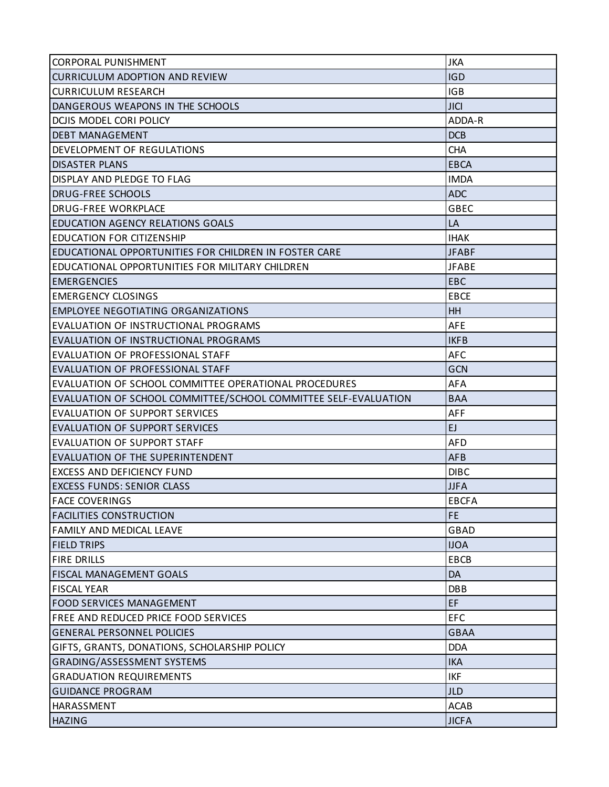| CORPORAL PUNISHMENT                                             | <b>JKA</b>   |
|-----------------------------------------------------------------|--------------|
| <b>CURRICULUM ADOPTION AND REVIEW</b>                           | <b>IGD</b>   |
| <b>CURRICULUM RESEARCH</b>                                      | <b>IGB</b>   |
| DANGEROUS WEAPONS IN THE SCHOOLS                                | <b>JICI</b>  |
| DCJIS MODEL CORI POLICY                                         | ADDA-R       |
| <b>DEBT MANAGEMENT</b>                                          | <b>DCB</b>   |
| DEVELOPMENT OF REGULATIONS                                      | <b>CHA</b>   |
| <b>DISASTER PLANS</b>                                           | <b>EBCA</b>  |
| DISPLAY AND PLEDGE TO FLAG                                      | <b>IMDA</b>  |
| <b>DRUG-FREE SCHOOLS</b>                                        | <b>ADC</b>   |
| <b>DRUG-FREE WORKPLACE</b>                                      | <b>GBEC</b>  |
| <b>EDUCATION AGENCY RELATIONS GOALS</b>                         | LA           |
| <b>EDUCATION FOR CITIZENSHIP</b>                                | <b>IHAK</b>  |
| EDUCATIONAL OPPORTUNITIES FOR CHILDREN IN FOSTER CARE           | <b>JFABF</b> |
| <b>EDUCATIONAL OPPORTUNITIES FOR MILITARY CHILDREN</b>          | <b>JFABE</b> |
| <b>EMERGENCIES</b>                                              | <b>EBC</b>   |
| <b>EMERGENCY CLOSINGS</b>                                       | <b>EBCE</b>  |
| EMPLOYEE NEGOTIATING ORGANIZATIONS                              | <b>HH</b>    |
| <b>EVALUATION OF INSTRUCTIONAL PROGRAMS</b>                     | <b>AFE</b>   |
| EVALUATION OF INSTRUCTIONAL PROGRAMS                            | <b>IKFB</b>  |
| <b>EVALUATION OF PROFESSIONAL STAFF</b>                         | <b>AFC</b>   |
| <b>EVALUATION OF PROFESSIONAL STAFF</b>                         | GCN          |
| <b>EVALUATION OF SCHOOL COMMITTEE OPERATIONAL PROCEDURES</b>    | AFA          |
| EVALUATION OF SCHOOL COMMITTEE/SCHOOL COMMITTEE SELF-EVALUATION | <b>BAA</b>   |
| <b>EVALUATION OF SUPPORT SERVICES</b>                           | <b>AFF</b>   |
| <b>EVALUATION OF SUPPORT SERVICES</b>                           | EJ.          |
| EVALUATION OF SUPPORT STAFF                                     | <b>AFD</b>   |
| EVALUATION OF THE SUPERINTENDENT                                | <b>AFB</b>   |
| <b>EXCESS AND DEFICIENCY FUND</b>                               | <b>DIBC</b>  |
| <b>EXCESS FUNDS: SENIOR CLASS</b>                               | <b>JJFA</b>  |
| <b>FACE COVERINGS</b>                                           | <b>EBCFA</b> |
| <b>FACILITIES CONSTRUCTION</b>                                  | <b>FE</b>    |
| <b>FAMILY AND MEDICAL LEAVE</b>                                 | GBAD         |
| <b>FIELD TRIPS</b>                                              | <b>IJOA</b>  |
| <b>FIRE DRILLS</b>                                              | <b>EBCB</b>  |
| <b>FISCAL MANAGEMENT GOALS</b>                                  | DA           |
| <b>FISCAL YEAR</b>                                              | <b>DBB</b>   |
| <b>FOOD SERVICES MANAGEMENT</b>                                 | EF           |
| <b>FREE AND REDUCED PRICE FOOD SERVICES</b>                     | <b>EFC</b>   |
| <b>GENERAL PERSONNEL POLICIES</b>                               | <b>GBAA</b>  |
| GIFTS, GRANTS, DONATIONS, SCHOLARSHIP POLICY                    | <b>DDA</b>   |
| <b>GRADING/ASSESSMENT SYSTEMS</b>                               | <b>IKA</b>   |
| <b>GRADUATION REQUIREMENTS</b>                                  | <b>IKF</b>   |
| <b>GUIDANCE PROGRAM</b>                                         | <b>JLD</b>   |
| HARASSMENT                                                      | <b>ACAB</b>  |
| <b>HAZING</b>                                                   | <b>JICFA</b> |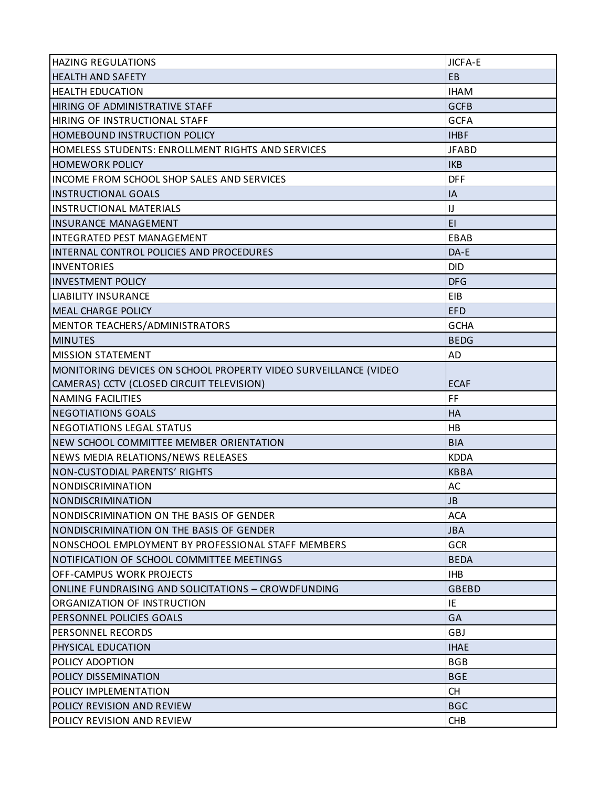| <b>HAZING REGULATIONS</b>                                       | <b>JICFA-E</b> |
|-----------------------------------------------------------------|----------------|
| <b>HEALTH AND SAFETY</b>                                        | EB             |
| <b>HEALTH EDUCATION</b>                                         | <b>IHAM</b>    |
| HIRING OF ADMINISTRATIVE STAFF                                  | <b>GCFB</b>    |
| <b>HIRING OF INSTRUCTIONAL STAFF</b>                            | <b>GCFA</b>    |
| <b>HOMEBOUND INSTRUCTION POLICY</b>                             | <b>IHBF</b>    |
| HOMELESS STUDENTS: ENROLLMENT RIGHTS AND SERVICES               | <b>JFABD</b>   |
| <b>HOMEWORK POLICY</b>                                          | <b>IKB</b>     |
| <b>INCOME FROM SCHOOL SHOP SALES AND SERVICES</b>               | <b>DFF</b>     |
| <b>INSTRUCTIONAL GOALS</b>                                      | IA             |
| <b>INSTRUCTIONAL MATERIALS</b>                                  | IJ             |
| <b>INSURANCE MANAGEMENT</b>                                     | EI             |
| <b>INTEGRATED PEST MANAGEMENT</b>                               | EBAB           |
| INTERNAL CONTROL POLICIES AND PROCEDURES                        | DA-E           |
| <b>INVENTORIES</b>                                              | <b>DID</b>     |
| <b>INVESTMENT POLICY</b>                                        | <b>DFG</b>     |
| <b>LIABILITY INSURANCE</b>                                      | EIB            |
| <b>MEAL CHARGE POLICY</b>                                       | <b>EFD</b>     |
| MENTOR TEACHERS/ADMINISTRATORS                                  | <b>GCHA</b>    |
| <b>MINUTES</b>                                                  | <b>BEDG</b>    |
| <b>MISSION STATEMENT</b>                                        | AD             |
| MONITORING DEVICES ON SCHOOL PROPERTY VIDEO SURVEILLANCE (VIDEO |                |
| CAMERAS) CCTV (CLOSED CIRCUIT TELEVISION)                       | <b>ECAF</b>    |
| <b>NAMING FACILITIES</b>                                        | FF             |
| <b>NEGOTIATIONS GOALS</b>                                       | <b>HA</b>      |
| <b>NEGOTIATIONS LEGAL STATUS</b>                                | <b>HB</b>      |
| NEW SCHOOL COMMITTEE MEMBER ORIENTATION                         | <b>BIA</b>     |
| NEWS MEDIA RELATIONS/NEWS RELEASES                              | <b>KDDA</b>    |
| <b>NON-CUSTODIAL PARENTS' RIGHTS</b>                            | <b>KBBA</b>    |
| NONDISCRIMINATION                                               | AC             |
| NONDISCRIMINATION                                               | JB             |
| INONDISCRIMINATION ON THE BASIS OF GENDER                       | ACA            |
| NONDISCRIMINATION ON THE BASIS OF GENDER                        | <b>JBA</b>     |
| NONSCHOOL EMPLOYMENT BY PROFESSIONAL STAFF MEMBERS              | <b>GCR</b>     |
| NOTIFICATION OF SCHOOL COMMITTEE MEETINGS                       | <b>BEDA</b>    |
| <b>OFF-CAMPUS WORK PROJECTS</b>                                 | <b>IHB</b>     |
| ONLINE FUNDRAISING AND SOLICITATIONS - CROWDFUNDING             | <b>GBEBD</b>   |
| ORGANIZATION OF INSTRUCTION                                     | IE             |
| <b>PERSONNEL POLICIES GOALS</b>                                 | GA             |
| <b>PERSONNEL RECORDS</b>                                        | GBJ            |
| <b>PHYSICAL EDUCATION</b>                                       | <b>IHAE</b>    |
| POLICY ADOPTION                                                 | <b>BGB</b>     |
| POLICY DISSEMINATION                                            | <b>BGE</b>     |
| POLICY IMPLEMENTATION                                           | <b>CH</b>      |
| POLICY REVISION AND REVIEW                                      | <b>BGC</b>     |
| POLICY REVISION AND REVIEW                                      | <b>CHB</b>     |
|                                                                 |                |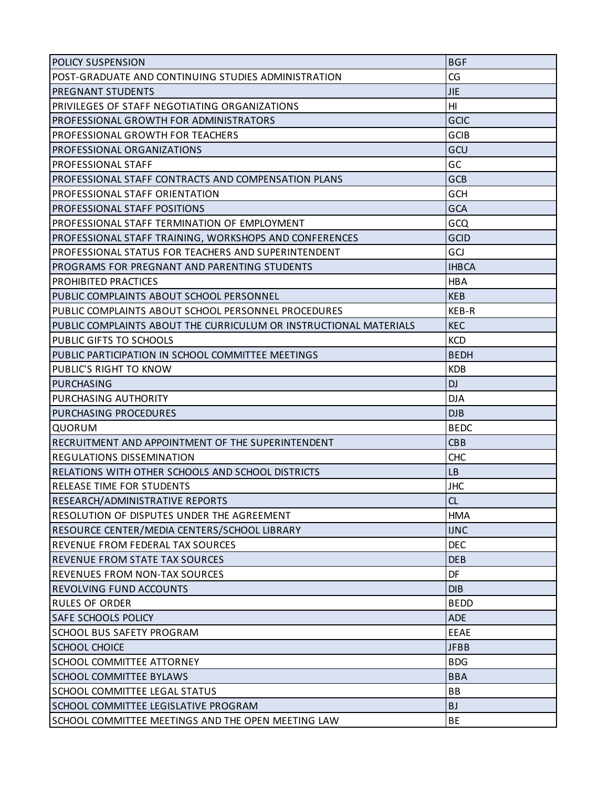| POST-GRADUATE AND CONTINUING STUDIES ADMINISTRATION<br>IPREGNANT STUDENTS<br>PRIVILEGES OF STAFF NEGOTIATING ORGANIZATIONS<br>IPROFESSIONAL GROWTH FOR ADMINISTRATORS<br><b>PROFESSIONAL GROWTH FOR TEACHERS</b> | CG              |
|------------------------------------------------------------------------------------------------------------------------------------------------------------------------------------------------------------------|-----------------|
|                                                                                                                                                                                                                  |                 |
|                                                                                                                                                                                                                  | <b>JIE</b>      |
|                                                                                                                                                                                                                  | H <sub>II</sub> |
|                                                                                                                                                                                                                  | GCIC            |
|                                                                                                                                                                                                                  | <b>GCIB</b>     |
| <b>PROFESSIONAL ORGANIZATIONS</b>                                                                                                                                                                                | GCU             |
| <b>PROFESSIONAL STAFF</b>                                                                                                                                                                                        | GC              |
| PROFESSIONAL STAFF CONTRACTS AND COMPENSATION PLANS                                                                                                                                                              | GCB             |
| <b>PROFESSIONAL STAFF ORIENTATION</b>                                                                                                                                                                            | GCH             |
| PROFESSIONAL STAFF POSITIONS                                                                                                                                                                                     | <b>GCA</b>      |
| <b>PROFESSIONAL STAFF TERMINATION OF EMPLOYMENT</b>                                                                                                                                                              | GCQ             |
| PROFESSIONAL STAFF TRAINING, WORKSHOPS AND CONFERENCES                                                                                                                                                           | GCID            |
| PROFESSIONAL STATUS FOR TEACHERS AND SUPERINTENDENT                                                                                                                                                              | GCJ             |
| PROGRAMS FOR PREGNANT AND PARENTING STUDENTS                                                                                                                                                                     | <b>IHBCA</b>    |
| PROHIBITED PRACTICES                                                                                                                                                                                             | <b>HBA</b>      |
| PUBLIC COMPLAINTS ABOUT SCHOOL PERSONNEL                                                                                                                                                                         | <b>KEB</b>      |
| PUBLIC COMPLAINTS ABOUT SCHOOL PERSONNEL PROCEDURES                                                                                                                                                              | KEB-R           |
| PUBLIC COMPLAINTS ABOUT THE CURRICULUM OR INSTRUCTIONAL MATERIALS                                                                                                                                                | <b>KEC</b>      |
| <b>PUBLIC GIFTS TO SCHOOLS</b>                                                                                                                                                                                   | <b>KCD</b>      |
| PUBLIC PARTICIPATION IN SCHOOL COMMITTEE MEETINGS                                                                                                                                                                | <b>BEDH</b>     |
| <b>PUBLIC'S RIGHT TO KNOW</b>                                                                                                                                                                                    | <b>KDB</b>      |
| PURCHASING                                                                                                                                                                                                       | <b>DJ</b>       |
| <b>PURCHASING AUTHORITY</b>                                                                                                                                                                                      | <b>DJA</b>      |
|                                                                                                                                                                                                                  |                 |
| <b>PURCHASING PROCEDURES</b>                                                                                                                                                                                     | DJB             |
| <b>QUORUM</b>                                                                                                                                                                                                    | <b>BEDC</b>     |
| RECRUITMENT AND APPOINTMENT OF THE SUPERINTENDENT                                                                                                                                                                | <b>CBB</b>      |
| IREGULATIONS DISSEMINATION                                                                                                                                                                                       | <b>CHC</b>      |
| RELATIONS WITH OTHER SCHOOLS AND SCHOOL DISTRICTS                                                                                                                                                                | <b>LB</b>       |
| <b>RELEASE TIME FOR STUDENTS</b>                                                                                                                                                                                 | <b>JHC</b>      |
|                                                                                                                                                                                                                  | CL              |
| RESEARCH/ADMINISTRATIVE REPORTS<br>RESOLUTION OF DISPUTES UNDER THE AGREEMENT                                                                                                                                    | <b>HMA</b>      |
| RESOURCE CENTER/MEDIA CENTERS/SCHOOL LIBRARY                                                                                                                                                                     | <b>IJNC</b>     |
| REVENUE FROM FEDERAL TAX SOURCES                                                                                                                                                                                 | <b>DEC</b>      |
|                                                                                                                                                                                                                  | <b>DEB</b>      |
| <b>REVENUES FROM NON-TAX SOURCES</b>                                                                                                                                                                             | DF              |
| <b>REVENUE FROM STATE TAX SOURCES</b><br><b>REVOLVING FUND ACCOUNTS</b>                                                                                                                                          | <b>DIB</b>      |
| <b>RULES OF ORDER</b>                                                                                                                                                                                            | <b>BEDD</b>     |
| <b>SAFE SCHOOLS POLICY</b>                                                                                                                                                                                       | <b>ADE</b>      |
| <b>SCHOOL BUS SAFETY PROGRAM</b>                                                                                                                                                                                 | <b>EEAE</b>     |
| <b>SCHOOL CHOICE</b>                                                                                                                                                                                             | <b>JFBB</b>     |
| <b>SCHOOL COMMITTEE ATTORNEY</b>                                                                                                                                                                                 | <b>BDG</b>      |
| <b>SCHOOL COMMITTEE BYLAWS</b>                                                                                                                                                                                   | <b>BBA</b>      |
| SCHOOL COMMITTEE LEGAL STATUS                                                                                                                                                                                    | <b>BB</b>       |
| SCHOOL COMMITTEE LEGISLATIVE PROGRAM                                                                                                                                                                             | <b>BJ</b>       |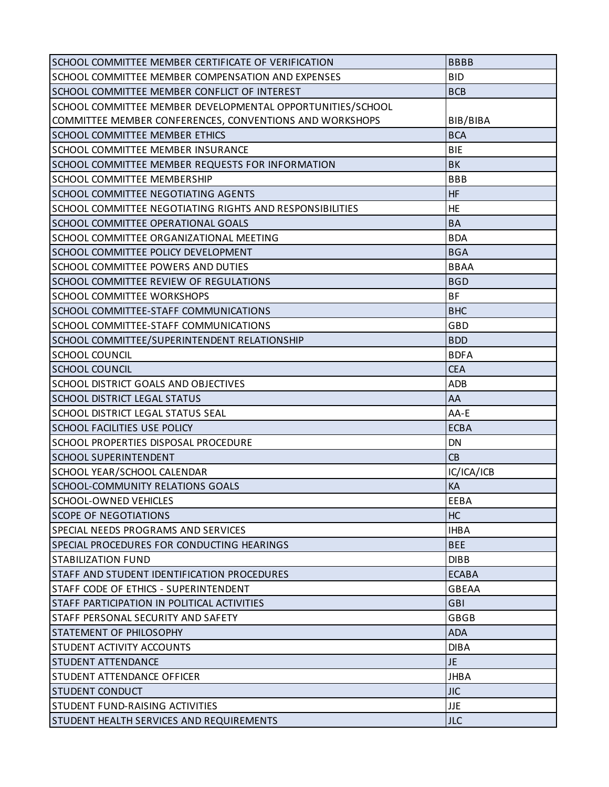| SCHOOL COMMITTEE MEMBER CERTIFICATE OF VERIFICATION        | <b>BBBB</b>  |
|------------------------------------------------------------|--------------|
| SCHOOL COMMITTEE MEMBER COMPENSATION AND EXPENSES          | <b>BID</b>   |
| SCHOOL COMMITTEE MEMBER CONFLICT OF INTEREST               | <b>BCB</b>   |
| SCHOOL COMMITTEE MEMBER DEVELOPMENTAL OPPORTUNITIES/SCHOOL |              |
| COMMITTEE MEMBER CONFERENCES, CONVENTIONS AND WORKSHOPS    | BIB/BIBA     |
| <b>SCHOOL COMMITTEE MEMBER ETHICS</b>                      | <b>BCA</b>   |
| <b>SCHOOL COMMITTEE MEMBER INSURANCE</b>                   | <b>BIE</b>   |
| SCHOOL COMMITTEE MEMBER REQUESTS FOR INFORMATION           | <b>BK</b>    |
| <b>SCHOOL COMMITTEE MEMBERSHIP</b>                         | <b>BBB</b>   |
| <b>SCHOOL COMMITTEE NEGOTIATING AGENTS</b>                 | <b>HF</b>    |
| SCHOOL COMMITTEE NEGOTIATING RIGHTS AND RESPONSIBILITIES   | <b>HE</b>    |
| SCHOOL COMMITTEE OPERATIONAL GOALS                         | <b>BA</b>    |
| SCHOOL COMMITTEE ORGANIZATIONAL MEETING                    | <b>BDA</b>   |
| <b>SCHOOL COMMITTEE POLICY DEVELOPMENT</b>                 | <b>BGA</b>   |
| <b>SCHOOL COMMITTEE POWERS AND DUTIES</b>                  | <b>BBAA</b>  |
| <b>SCHOOL COMMITTEE REVIEW OF REGULATIONS</b>              | <b>BGD</b>   |
| <b>SCHOOL COMMITTEE WORKSHOPS</b>                          | <b>BF</b>    |
| <b>SCHOOL COMMITTEE-STAFF COMMUNICATIONS</b>               | <b>BHC</b>   |
| SCHOOL COMMITTEE-STAFF COMMUNICATIONS                      | GBD          |
| SCHOOL COMMITTEE/SUPERINTENDENT RELATIONSHIP               | <b>BDD</b>   |
| SCHOOL COUNCIL                                             | <b>BDFA</b>  |
| <b>SCHOOL COUNCIL</b>                                      | <b>CEA</b>   |
| <b>SCHOOL DISTRICT GOALS AND OBJECTIVES</b>                | <b>ADB</b>   |
| <b>SCHOOL DISTRICT LEGAL STATUS</b>                        | AA           |
| <b>SCHOOL DISTRICT LEGAL STATUS SEAL</b>                   | AA-E         |
| <b>SCHOOL FACILITIES USE POLICY</b>                        | <b>ECBA</b>  |
| <b>SCHOOL PROPERTIES DISPOSAL PROCEDURE</b>                | <b>DN</b>    |
| <b>SCHOOL SUPERINTENDENT</b>                               | CB           |
| <b>SCHOOL YEAR/SCHOOL CALENDAR</b>                         | IC/ICA/ICB   |
| <b>SCHOOL-COMMUNITY RELATIONS GOALS</b>                    | KA           |
| SCHOOL-OWNED VEHICLES                                      | EEBA         |
| <b>ISCOPE OF NEGOTIATIONS</b>                              | <b>HC</b>    |
| SPECIAL NEEDS PROGRAMS AND SERVICES                        | <b>IHBA</b>  |
| SPECIAL PROCEDURES FOR CONDUCTING HEARINGS                 | <b>BEE</b>   |
| <b>STABILIZATION FUND</b>                                  | <b>DIBB</b>  |
| STAFF AND STUDENT IDENTIFICATION PROCEDURES                | <b>ECABA</b> |
| STAFF CODE OF ETHICS - SUPERINTENDENT                      | <b>GBEAA</b> |
| <b>STAFF PARTICIPATION IN POLITICAL ACTIVITIES</b>         | <b>GBI</b>   |
| ISTAFF PERSONAL SECURITY AND SAFETY                        | <b>GBGB</b>  |
| <b>STATEMENT OF PHILOSOPHY</b>                             | <b>ADA</b>   |
| <b>ISTUDENT ACTIVITY ACCOUNTS</b>                          | <b>DIBA</b>  |
| <b>STUDENT ATTENDANCE</b>                                  | <b>JE</b>    |
| ISTUDENT ATTENDANCE OFFICER                                | <b>JHBA</b>  |
| <b>STUDENT CONDUCT</b>                                     | <b>JIC</b>   |
| <b>STUDENT FUND-RAISING ACTIVITIES</b>                     | <b>JJE</b>   |
| <b>STUDENT HEALTH SERVICES AND REQUIREMENTS</b>            | <b>JLC</b>   |
|                                                            |              |